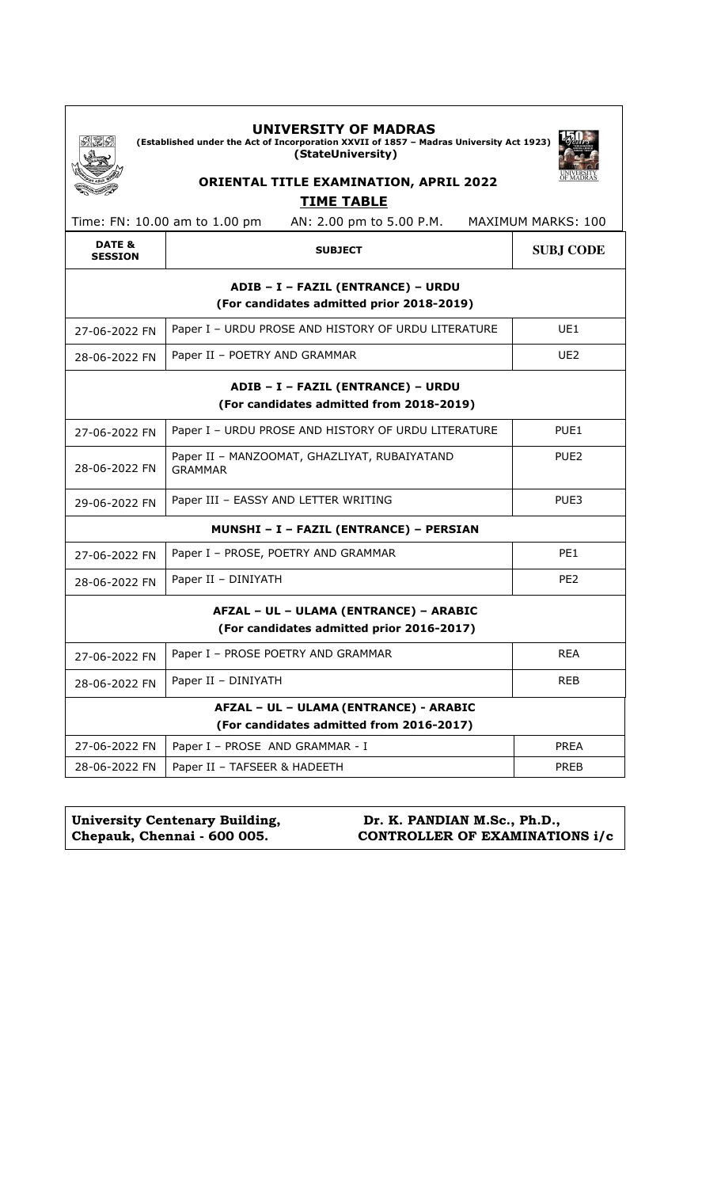|                          | <b>UNIVERSITY OF MADRAS</b><br>(Established under the Act of Incorporation XXVII of 1857 - Madras University Act 1923)<br>(StateUniversity)<br><b>ORIENTAL TITLE EXAMINATION, APRIL 2022</b> |                  |  |
|--------------------------|----------------------------------------------------------------------------------------------------------------------------------------------------------------------------------------------|------------------|--|
|                          | <b>TIME TABLE</b>                                                                                                                                                                            |                  |  |
|                          | Time: FN: 10.00 am to 1.00 pm<br>AN: 2.00 pm to 5.00 P.M.<br><b>MAXIMUM MARKS: 100</b>                                                                                                       |                  |  |
| DATE &<br><b>SESSION</b> | <b>SUBJECT</b>                                                                                                                                                                               | <b>SUBJ CODE</b> |  |
|                          | ADIB - I - FAZIL (ENTRANCE) - URDU<br>(For candidates admitted prior 2018-2019)                                                                                                              |                  |  |
| 27-06-2022 FN            | Paper I - URDU PROSE AND HISTORY OF URDU LITERATURE                                                                                                                                          | UE1              |  |
| 28-06-2022 FN            | Paper II - POETRY AND GRAMMAR                                                                                                                                                                | UE <sub>2</sub>  |  |
|                          | ADIB - I - FAZIL (ENTRANCE) - URDU<br>(For candidates admitted from 2018-2019)                                                                                                               |                  |  |
| 27-06-2022 FN            | Paper I - URDU PROSE AND HISTORY OF URDU LITERATURE                                                                                                                                          | PUE <sub>1</sub> |  |
| 28-06-2022 FN            | Paper II - MANZOOMAT, GHAZLIYAT, RUBAIYATAND<br>PUE <sub>2</sub><br><b>GRAMMAR</b>                                                                                                           |                  |  |
| 29-06-2022 FN            | Paper III - EASSY AND LETTER WRITING                                                                                                                                                         | PUE3             |  |
|                          | MUNSHI - I - FAZIL (ENTRANCE) - PERSIAN                                                                                                                                                      |                  |  |
| 27-06-2022 FN            | Paper I - PROSE, POETRY AND GRAMMAR                                                                                                                                                          |                  |  |
| 28-06-2022 FN            | Paper II - DINIYATH                                                                                                                                                                          | PE <sub>2</sub>  |  |
|                          | AFZAL - UL - ULAMA (ENTRANCE) - ARABIC<br>(For candidates admitted prior 2016-2017)                                                                                                          |                  |  |
| 27-06-2022 FN            | Paper I - PROSE POETRY AND GRAMMAR                                                                                                                                                           | <b>REA</b>       |  |
| 28-06-2022 FN            | Paper II - DINIYATH                                                                                                                                                                          | <b>REB</b>       |  |
|                          | AFZAL - UL - ULAMA (ENTRANCE) - ARABIC<br>(For candidates admitted from 2016-2017)                                                                                                           |                  |  |
| 27-06-2022 FN            | Paper I - PROSE AND GRAMMAR - I                                                                                                                                                              | <b>PREA</b>      |  |
| 28-06-2022 FN            | Paper II - TAFSEER & HADEETH                                                                                                                                                                 | <b>PREB</b>      |  |

| University Centenary Building, | Dr. K. PANDIAN M.Sc., Ph.D.,          |
|--------------------------------|---------------------------------------|
| Chepauk, Chennai - 600 005.    | <b>CONTROLLER OF EXAMINATIONS i/c</b> |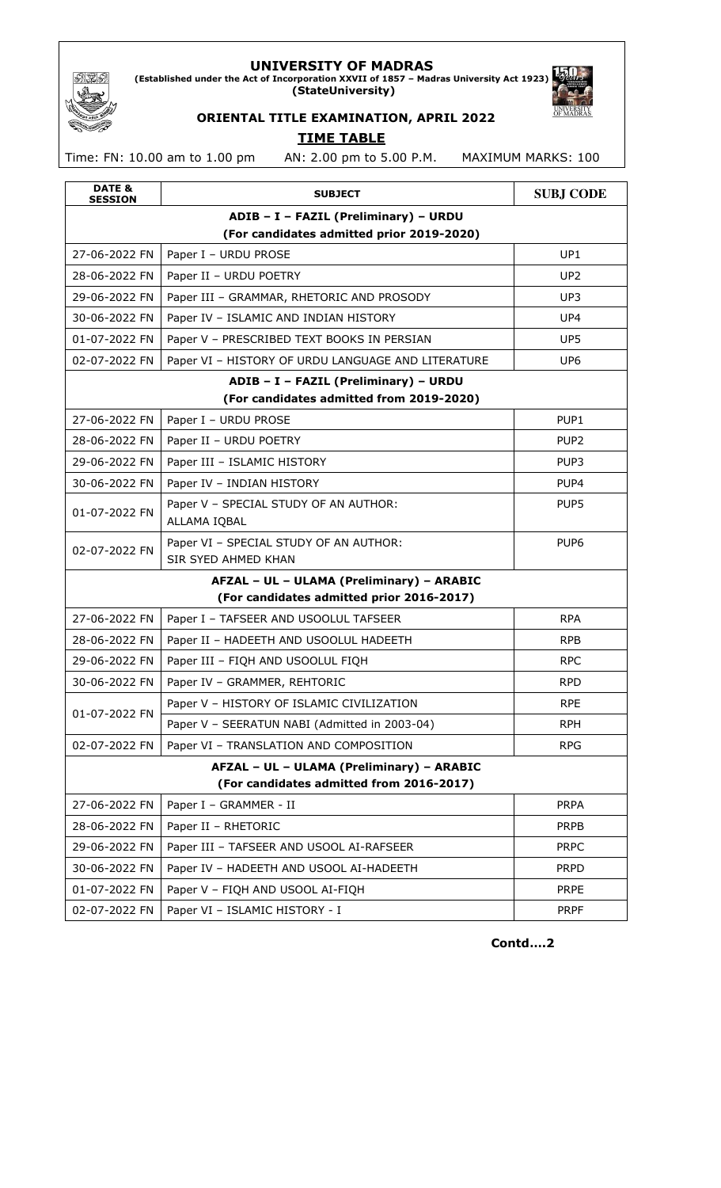### **UNIVERSITY OF MADRAS**

**(Established under the Act of Incorporation XXVII of 1857 – Madras University Act 1923) (StateUniversity)**



# **ORIENTAL TITLE EXAMINATION, APRIL 2022 TIME TABLE**

Time: FN: 10.00 am to 1.00 pm AN: 2.00 pm to 5.00 P.M. MAXIMUM MARKS: 100

373

| DATE &<br><b>SESSION</b> | <b>SUBJECT</b>                                                                        | <b>SUBJ CODE</b> |
|--------------------------|---------------------------------------------------------------------------------------|------------------|
|                          | ADIB - I - FAZIL (Preliminary) - URDU                                                 |                  |
|                          | (For candidates admitted prior 2019-2020)                                             |                  |
| 27-06-2022 FN            | Paper I - URDU PROSE                                                                  | UP1              |
| 28-06-2022 FN            | Paper II - URDU POETRY                                                                | UP <sub>2</sub>  |
| 29-06-2022 FN            | Paper III - GRAMMAR, RHETORIC AND PROSODY                                             | UP3              |
| 30-06-2022 FN            | Paper IV - ISLAMIC AND INDIAN HISTORY                                                 | UP4              |
| 01-07-2022 FN            | Paper V - PRESCRIBED TEXT BOOKS IN PERSIAN                                            | UP5              |
| 02-07-2022 FN            | Paper VI - HISTORY OF URDU LANGUAGE AND LITERATURE                                    | UP <sub>6</sub>  |
|                          | ADIB - I - FAZIL (Preliminary) - URDU                                                 |                  |
|                          | (For candidates admitted from 2019-2020)                                              |                  |
| 27-06-2022 FN            | Paper I - URDU PROSE                                                                  | PUP1             |
| 28-06-2022 FN            | Paper II - URDU POETRY                                                                | PUP <sub>2</sub> |
| 29-06-2022 FN            | Paper III - ISLAMIC HISTORY                                                           | PUP3             |
| 30-06-2022 FN            | Paper IV - INDIAN HISTORY                                                             | PUP4             |
| 01-07-2022 FN            | Paper V - SPECIAL STUDY OF AN AUTHOR:<br>ALLAMA IQBAL                                 | PUP5             |
| 02-07-2022 FN            | Paper VI - SPECIAL STUDY OF AN AUTHOR:<br>SIR SYED AHMED KHAN                         | PUP <sub>6</sub> |
|                          | AFZAL - UL - ULAMA (Preliminary) - ARABIC                                             |                  |
|                          | (For candidates admitted prior 2016-2017)                                             |                  |
| 27-06-2022 FN            | Paper I - TAFSEER AND USOOLUL TAFSEER                                                 | <b>RPA</b>       |
| 28-06-2022 FN            | Paper II - HADEETH AND USOOLUL HADEETH                                                | <b>RPB</b>       |
| 29-06-2022 FN            | Paper III - FIQH AND USOOLUL FIQH                                                     | <b>RPC</b>       |
| 30-06-2022 FN            | Paper IV - GRAMMER, REHTORIC                                                          | <b>RPD</b>       |
| 01-07-2022 FN            | Paper V - HISTORY OF ISLAMIC CIVILIZATION                                             | <b>RPE</b>       |
|                          | Paper V - SEERATUN NABI (Admitted in 2003-04)                                         | <b>RPH</b>       |
| 02-07-2022 FN            | Paper VI - TRANSLATION AND COMPOSITION                                                | <b>RPG</b>       |
|                          | AFZAL - UL - ULAMA (Preliminary) - ARABIC<br>(For candidates admitted from 2016-2017) |                  |
| 27-06-2022 FN            | Paper I - GRAMMER - II                                                                | <b>PRPA</b>      |
| 28-06-2022 FN            | Paper II - RHETORIC                                                                   | <b>PRPB</b>      |
| 29-06-2022 FN            | Paper III - TAFSEER AND USOOL AI-RAFSEER                                              | <b>PRPC</b>      |
| 30-06-2022 FN            | Paper IV - HADEETH AND USOOL AI-HADEETH                                               | <b>PRPD</b>      |
| 01-07-2022 FN            | Paper V - FIQH AND USOOL AI-FIQH                                                      | <b>PRPE</b>      |
| 02-07-2022 FN            | Paper VI - ISLAMIC HISTORY - I                                                        | <b>PRPF</b>      |
|                          |                                                                                       |                  |

**Contd….2**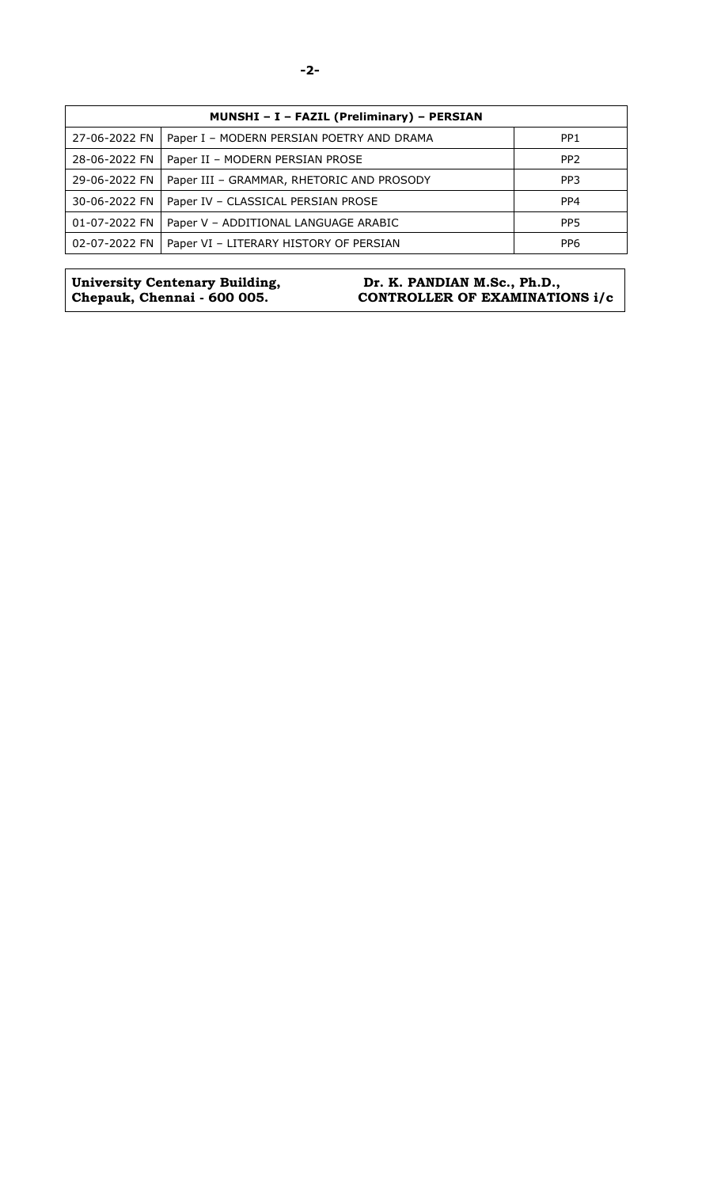| MUNSHI - I - FAZIL (Preliminary) - PERSIAN |                                           |                 |
|--------------------------------------------|-------------------------------------------|-----------------|
| 27-06-2022 FN                              | Paper I - MODERN PERSIAN POETRY AND DRAMA | PP <sub>1</sub> |
| 28-06-2022 FN                              | Paper II - MODERN PERSIAN PROSE           | PP <sub>2</sub> |
| 29-06-2022 FN                              | Paper III - GRAMMAR, RHETORIC AND PROSODY | PP <sub>3</sub> |
| 30-06-2022 FN                              | Paper IV - CLASSICAL PERSIAN PROSE        | PP4             |
| 01-07-2022 FN                              | Paper V – ADDITIONAL LANGUAGE ARABIC      | PP <sub>5</sub> |
| 02-07-2022 FN                              | Paper VI - LITERARY HISTORY OF PERSIAN    | PP <sub>6</sub> |

**University Centenary Building, Chepauk, Chennai - 600 005.** 

#### **Dr. K. PANDIAN M.Sc., Ph.D., CONTROLLER OF EXAMINATIONS i/c**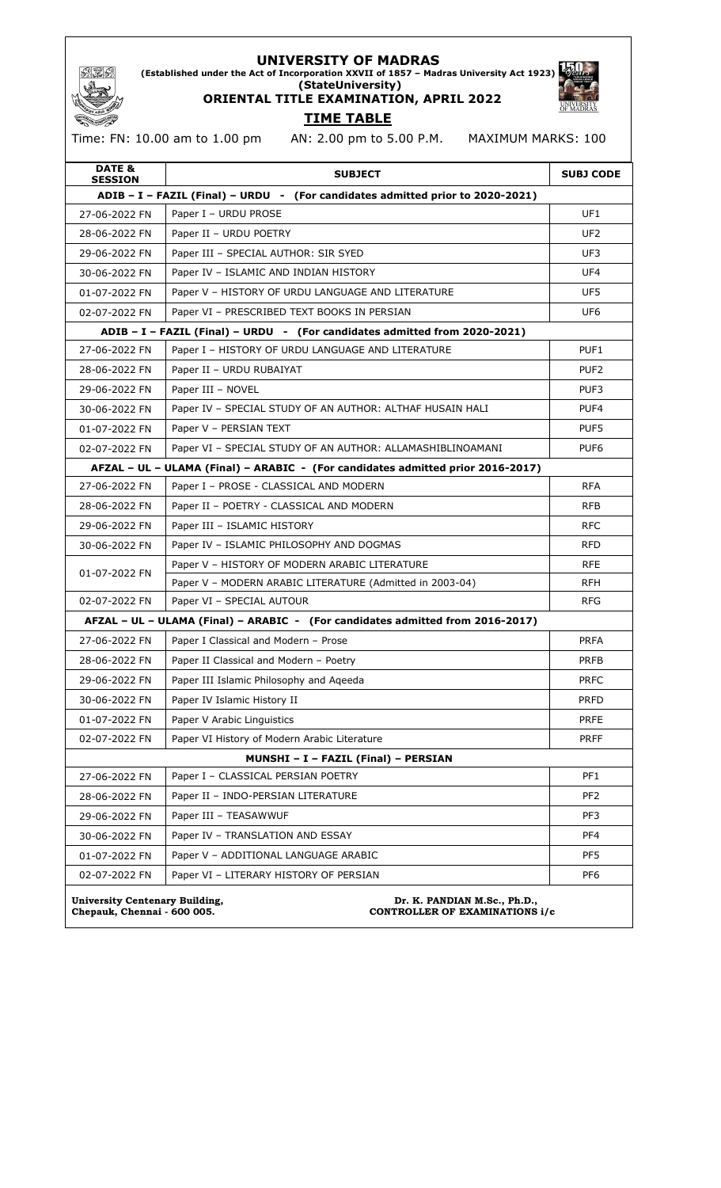#### **UNIVERSITY OF MADRAS**

**(Established under the Act of Incorporation XXVII of 1857 – Madras University Act 1923) (StateUniversity)**

**ORIENTAL TITLE EXAMINATION, APRIL 2022 TIME TABLE** 

**OF MADRAS** 

# Time: FN: 10.00 am to 1.00 pm AN: 2.00 pm to 5.00 P.M. MAXIMUM MARKS: 100

| DATE &<br><b>SESSION</b>                                             | <b>SUBJECT</b>                                                                  | <b>SUBJ CODE</b> |
|----------------------------------------------------------------------|---------------------------------------------------------------------------------|------------------|
|                                                                      | ADIB - I - FAZIL (Final) - URDU - (For candidates admitted prior to 2020-2021)  |                  |
| 27-06-2022 FN                                                        | Paper I - URDU PROSE                                                            | UF1              |
| 28-06-2022 FN                                                        | Paper II - URDU POETRY                                                          | UF <sub>2</sub>  |
| 29-06-2022 FN                                                        | Paper III - SPECIAL AUTHOR: SIR SYED                                            | UF3              |
| 30-06-2022 FN                                                        | Paper IV - ISLAMIC AND INDIAN HISTORY                                           | UF4              |
| 01-07-2022 FN                                                        | Paper V - HISTORY OF URDU LANGUAGE AND LITERATURE                               | UF5              |
| 02-07-2022 FN                                                        | Paper VI - PRESCRIBED TEXT BOOKS IN PERSIAN                                     | UF <sub>6</sub>  |
|                                                                      | ADIB - I - FAZIL (Final) - URDU - (For candidates admitted from 2020-2021)      |                  |
| 27-06-2022 FN                                                        | Paper I - HISTORY OF URDU LANGUAGE AND LITERATURE                               | PUF <sub>1</sub> |
| 28-06-2022 FN                                                        | Paper II - URDU RUBAIYAT                                                        | PUF <sub>2</sub> |
| 29-06-2022 FN                                                        | Paper III - NOVEL                                                               | PUF3             |
| 30-06-2022 FN                                                        | Paper IV - SPECIAL STUDY OF AN AUTHOR: ALTHAF HUSAIN HALI                       | PUF4             |
| 01-07-2022 FN                                                        | Paper V - PERSIAN TEXT                                                          | PUF5             |
| 02-07-2022 FN                                                        | Paper VI - SPECIAL STUDY OF AN AUTHOR: ALLAMASHIBLINOAMANI                      | PUF <sub>6</sub> |
|                                                                      | AFZAL - UL - ULAMA (Final) - ARABIC - (For candidates admitted prior 2016-2017) |                  |
| 27-06-2022 FN                                                        | Paper I - PROSE - CLASSICAL AND MODERN                                          | <b>RFA</b>       |
| 28-06-2022 FN                                                        | Paper II - POETRY - CLASSICAL AND MODERN                                        | <b>RFB</b>       |
| 29-06-2022 FN                                                        | Paper III - ISLAMIC HISTORY                                                     | <b>RFC</b>       |
| 30-06-2022 FN                                                        | Paper IV - ISLAMIC PHILOSOPHY AND DOGMAS                                        | <b>RFD</b>       |
| 01-07-2022 FN                                                        | Paper V - HISTORY OF MODERN ARABIC LITERATURE                                   | <b>RFE</b>       |
|                                                                      | Paper V - MODERN ARABIC LITERATURE (Admitted in 2003-04)                        | <b>RFH</b>       |
| 02-07-2022 FN                                                        | Paper VI - SPECIAL AUTOUR                                                       | <b>RFG</b>       |
|                                                                      | AFZAL - UL - ULAMA (Final) - ARABIC - (For candidates admitted from 2016-2017)  |                  |
| 27-06-2022 FN                                                        | Paper I Classical and Modern - Prose                                            | <b>PRFA</b>      |
| 28-06-2022 FN                                                        | Paper II Classical and Modern - Poetry                                          | <b>PRFB</b>      |
| 29-06-2022 FN                                                        | Paper III Islamic Philosophy and Aqeeda                                         | <b>PRFC</b>      |
| 30-06-2022 FN                                                        | Paper IV Islamic History II                                                     | <b>PRFD</b>      |
| 01-07-2022 FN                                                        | Paper V Arabic Linguistics                                                      | <b>PRFE</b>      |
| 02-07-2022 FN                                                        | Paper VI History of Modern Arabic Literature                                    | <b>PRFF</b>      |
|                                                                      | MUNSHI - I - FAZIL (Final) - PERSIAN                                            |                  |
| 27-06-2022 FN                                                        | Paper I - CLASSICAL PERSIAN POETRY                                              | PF1              |
| 28-06-2022 FN                                                        | Paper II - INDO-PERSIAN LITERATURE                                              | PF <sub>2</sub>  |
| 29-06-2022 FN                                                        | Paper III - TEASAWWUF                                                           | PF3              |
| 30-06-2022 FN                                                        | Paper IV - TRANSLATION AND ESSAY                                                | PF4              |
| 01-07-2022 FN                                                        | Paper V - ADDITIONAL LANGUAGE ARABIC                                            | PF5              |
| 02-07-2022 FN                                                        | Paper VI - LITERARY HISTORY OF PERSIAN                                          | PF6              |
| <b>University Centenary Building,</b><br>Chepauk, Chennai - 600 005. | Dr. K. PANDIAN M.Sc., Ph.D.,<br>CONTROLLER OF EXAMINATIONS i/c                  |                  |